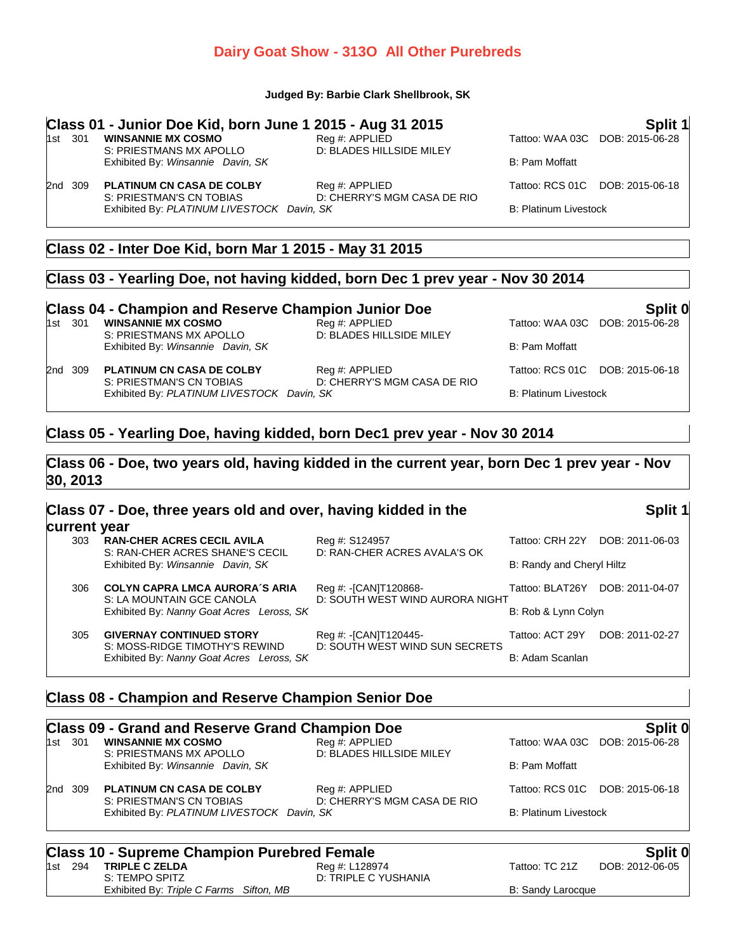# **Dairy Goat Show - 313O All Other Purebreds**

#### **Judged By: Barbie Clark Shellbrook, SK**

# **Class 01 - Junior Doe Kid, born June 1 2015 - Aug 31 2015**<br>1st 301 WINSANNIE MX COSMO<br>1st 301 VIAA 03C DOB: 2015-06-28

S: PRIESTMANS MX APOLLO Exhibited By: *Winsannie Davin, SK* B: Pam Moffatt

1st 300 **Reg #: APPLIED**<br>1st 3015-06-28<br>2nd **D**: BLADES HILLSIDE MILEY

D: CHERRY'S MGM CASA DE RIO

2nd 309 **PLATINUM CN CASA DE COLBY** Reg #: APPLIED Tattoo: RCS 01C DOB: 2015-06-18<br>S: PRIESTMAN'S CN TOBIAS D: CHERRY'S MGM CASA DE RIO

Exhibited By: PLATINUM LIVESTOCK Davin, SK B: Platinum Livestock

# **Class 02 - Inter Doe Kid, born Mar 1 2015 - May 31 2015**

#### **Class 03 - Yearling Doe, not having kidded, born Dec 1 prev year - Nov 30 2014**

# **Class 04 - Champion and Reserve Champion Junior Doe Split 0**

S: PRIESTMANS MX APOLLO Exhibited By: *Winsannie Davin, SK* B: Pam Moffatt

2nd 309 **PLATINUM CN CASA DE COLBY** Reg #: APPLIED **Tattoo: RCS 01C** DOB: 2015-06-18<br>S: PRIESTMAN'S CN TOBIAS D: CHERRY'S MGM CASA DE RIO D: CHERRY'S MGM CASA DE RIO

1st 300 **Reg #: APPLIED**<br>
1st 301 **D: BLADES HILLSIDE MILEY**<br>
2015-06-28

Exhibited By: PLATINUM LIVESTOCK Davin, SK B: Platinum Livestock

# **Class 05 - Yearling Doe, having kidded, born Dec1 prev year - Nov 30 2014**

### **Class 06 - Doe, two years old, having kidded in the current year, born Dec 1 prev year - Nov 30, 2013**

| Class 07 - Doe, three years old and over, having kidded in the |                                                                      |                                                          |                           | Split 1         |  |
|----------------------------------------------------------------|----------------------------------------------------------------------|----------------------------------------------------------|---------------------------|-----------------|--|
| current year                                                   |                                                                      |                                                          |                           |                 |  |
| 303                                                            | <b>RAN-CHER ACRES CECIL AVILA</b><br>S: RAN-CHER ACRES SHANE'S CECIL | Reg #: S124957<br>D: RAN-CHER ACRES AVALA'S OK           | Tattoo: CRH 22Y           | DOB: 2011-06-03 |  |
|                                                                | Exhibited By: Winsannie Davin, SK                                    |                                                          | B: Randy and Cheryl Hiltz |                 |  |
| 306                                                            | <b>COLYN CAPRA LMCA AURORA'S ARIA</b><br>S: LA MOUNTAIN GCE CANOLA   | Reg #: -[CAN]T120868-<br>D: SOUTH WEST WIND AURORA NIGHT | Tattoo: BLAT26Y           | DOB: 2011-04-07 |  |
| Exhibited By: Nanny Goat Acres Leross, SK                      |                                                                      | B: Rob & Lynn Colyn                                      |                           |                 |  |
| 305                                                            | <b>GIVERNAY CONTINUED STORY</b><br>S: MOSS-RIDGE TIMOTHY'S REWIND    | Reg #: -[CAN]T120445-<br>D: SOUTH WEST WIND SUN SECRETS  | Tattoo: ACT 29Y           | DOB: 2011-02-27 |  |
|                                                                | Exhibited By: Nanny Goat Acres Leross, SK                            |                                                          | B: Adam Scanlan           |                 |  |

## **Class 08 - Champion and Reserve Champion Senior Doe**

|         | <b>Class 09 - Grand and Reserve Grand Champion Doe</b>                 |                                            |                              | Split 0                         |
|---------|------------------------------------------------------------------------|--------------------------------------------|------------------------------|---------------------------------|
| 1st 301 | <b>WINSANNIE MX COSMO</b><br>S: PRIESTMANS MX APOLLO                   | Reg #: APPLIED<br>D: BLADES HILLSIDE MILEY |                              | Tattoo: WAA 03C DOB: 2015-06-28 |
|         | Exhibited By: Winsannie Davin, SK                                      |                                            | <b>B: Pam Moffatt</b>        |                                 |
| 2nd 309 | <b>PLATINUM CN CASA DE COLBY</b>                                       | Reg #: APPLIED                             | Tattoo: RCS 01C              | DOB: 2015-06-18                 |
|         | S: PRIESTMAN'S CN TOBIAS<br>Exhibited By: PLATINUM LIVESTOCK Davin, SK | D: CHERRY'S MGM CASA DE RIO                | <b>B: Platinum Livestock</b> |                                 |
|         | <b>Class 10 - Supreme Champion Purebred Female</b>                     |                                            |                              | Split 0                         |
| 1st 294 | <b>TRIPLE C ZELDA</b><br>S: TEMPO SPITZ                                | Reg #: L128974<br>D: TRIPLE C YUSHANIA     | Tattoo: TC 21Z               | DOB: 2012-06-05                 |

Exhibited By: Triple C Farms Sifton, MB B: Sandy Larocque B: Sandy Larocque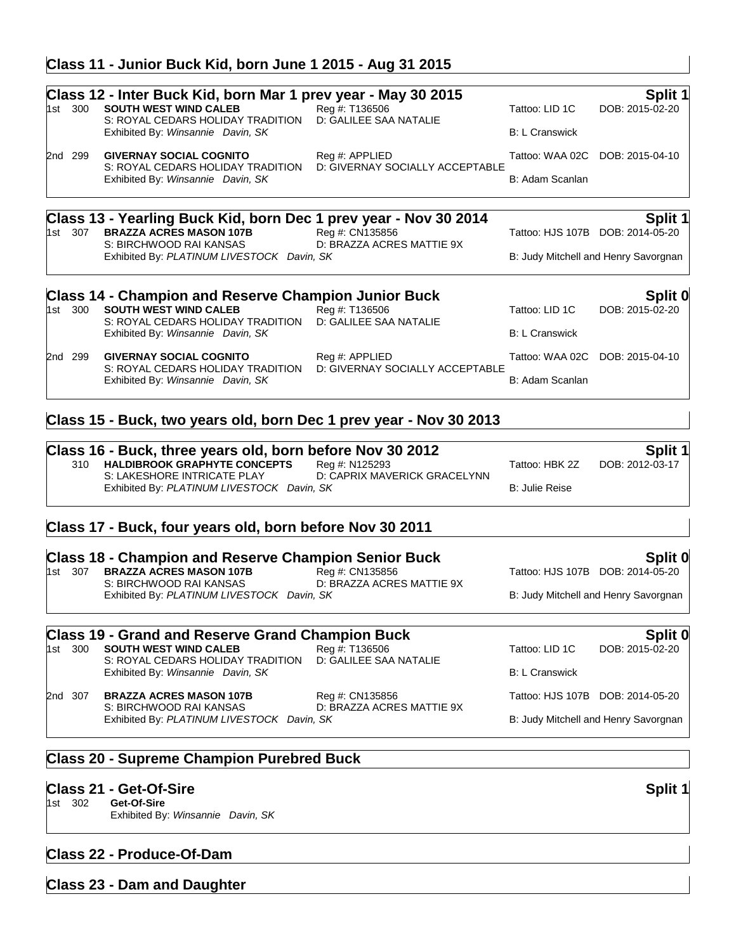# **Class 11 - Junior Buck Kid, born June 1 2015 - Aug 31 2015**

|       | 1st 300 | Class 12 - Inter Buck Kid, born Mar 1 prev year - May 30 2015<br><b>SOUTH WEST WIND CALEB</b><br>S: ROYAL CEDARS HOLIDAY TRADITION<br>Exhibited By: Winsannie Davin, SK       | Reg #: T136506<br>D: GALILEE SAA NATALIE          | Tattoo: LID 1C<br><b>B: L Cranswick</b> | Split 1<br>DOB: 2015-02-20                             |
|-------|---------|-------------------------------------------------------------------------------------------------------------------------------------------------------------------------------|---------------------------------------------------|-----------------------------------------|--------------------------------------------------------|
|       | 2nd 299 | <b>GIVERNAY SOCIAL COGNITO</b><br>S: ROYAL CEDARS HOLIDAY TRADITION<br>Exhibited By: Winsannie Davin, SK                                                                      | Reg #: APPLIED<br>D: GIVERNAY SOCIALLY ACCEPTABLE | Tattoo: WAA 02C<br>B: Adam Scanlan      | DOB: 2015-04-10                                        |
|       | 1st 307 | Class 13 - Yearling Buck Kid, born Dec 1 prev year - Nov 30 2014<br><b>BRAZZA ACRES MASON 107B</b><br>S: BIRCHWOOD RAI KANSAS<br>Exhibited By: PLATINUM LIVESTOCK Davin, SK   | Reg #: CN135856<br>D: BRAZZA ACRES MATTIE 9X      | Tattoo: HJS 107B DOB: 2014-05-20        | Split 1<br>B: Judy Mitchell and Henry Savorgnan        |
|       | 1st 300 | <b>Class 14 - Champion and Reserve Champion Junior Buck</b><br><b>SOUTH WEST WIND CALEB</b><br>S: ROYAL CEDARS HOLIDAY TRADITION<br>Exhibited By: Winsannie Davin, SK         | Reg #: T136506<br>D: GALILEE SAA NATALIE          | Tattoo: LID 1C<br><b>B: L Cranswick</b> | Split 0<br>DOB: 2015-02-20                             |
|       | 2nd 299 | <b>GIVERNAY SOCIAL COGNITO</b><br>S: ROYAL CEDARS HOLIDAY TRADITION<br>Exhibited By: Winsannie Davin, SK                                                                      | Reg #: APPLIED<br>D: GIVERNAY SOCIALLY ACCEPTABLE | Tattoo: WAA 02C<br>B: Adam Scanlan      | DOB: 2015-04-10                                        |
|       |         | Class 15 - Buck, two years old, born Dec 1 prev year - Nov 30 2013                                                                                                            |                                                   |                                         |                                                        |
|       | 310     | Class 16 - Buck, three years old, born before Nov 30 2012<br><b>HALDIBROOK GRAPHYTE CONCEPTS</b><br>S: LAKESHORE INTRICATE PLAY<br>Exhibited By: PLATINUM LIVESTOCK Davin, SK | Reg #: N125293<br>D: CAPRIX MAVERICK GRACELYNN    | Tattoo: HBK 2Z<br><b>B: Julie Reise</b> | <b>Split 1</b><br>DOB: 2012-03-17                      |
|       |         | Class 17 - Buck, four years old, born before Nov 30 2011                                                                                                                      |                                                   |                                         |                                                        |
|       | 1st 307 | <b>Class 18 - Champion and Reserve Champion Senior Buck</b><br><b>BRAZZA ACRES MASON 107B</b><br>S: BIRCHWOOD RAI KANSAS<br>Exhibited By: PLATINUM LIVESTOCK Davin, SK        | Reg #: CN135856<br>D: BRAZZA ACRES MATTIE 9X      | Tattoo: HJS 107B DOB: 2014-05-20        | <b>Split 0</b><br>B: Judy Mitchell and Henry Savorgnan |
| 1st l | 300     | <b>Class 19 - Grand and Reserve Grand Champion Buck</b><br><b>SOUTH WEST WIND CALEB</b><br>S: ROYAL CEDARS HOLIDAY TRADITION<br>Exhibited By: Winsannie Davin, SK             | Rea #: T136506<br>D: GALILEE SAA NATALIE          | Tattoo: LID 1C<br><b>B: L Cranswick</b> | Split 0<br>DOB: 2015-02-20                             |
|       | 2nd 307 | <b>BRAZZA ACRES MASON 107B</b><br>S: BIRCHWOOD RAI KANSAS                                                                                                                     | Reg #: CN135856<br>D: BRAZZA ACRES MATTIE 9X      |                                         | Tattoo: HJS 107B DOB: 2014-05-20                       |

D: BRAZZA ACRES MATTIE 9X Exhibited By: PLATINUM LIVESTOCK Davin, SK B: Judy Mitchell and Henry Savorgnan

# **Class 20 - Supreme Champion Purebred Buck**

# **Class 21 - Get-Of-Sire Split 1**

- Get-Of-Sire
	- Exhibited By: *Winsannie Davin, SK*

# **Class 22 - Produce-Of-Dam**

**Class 23 - Dam and Daughter**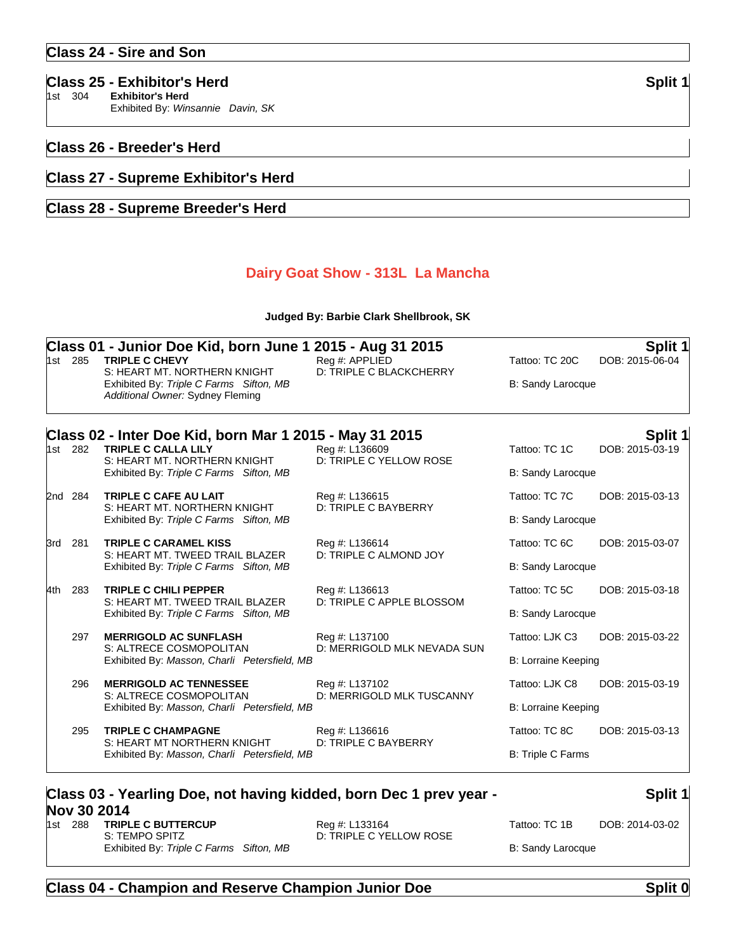| <b>Class 25 - Exhibitor's Herd</b> | Split 1 |
|------------------------------------|---------|
|------------------------------------|---------|

1st 304 **Exhibitor's Herd** Exhibited By: *Winsannie Davin, SK*

### **Class 26 - Breeder's Herd**

### **Class 27 - Supreme Exhibitor's Herd**

# **Class 28 - Supreme Breeder's Herd**

## **Dairy Goat Show - 313L La Mancha**

#### **Judged By: Barbie Clark Shellbrook, SK**

| 1st 285 | Class 01 - Junior Doe Kid, born June 1 2015 - Aug 31 2015<br><b>TRIPLE C CHEVY</b><br>S: HEART MT, NORTHERN KNIGHT<br>Exhibited By: Triple C Farms Sifton, MB<br>Additional Owner: Sydney Fleming | Reg #: APPLIED<br>D: TRIPLE C BLACKCHERRY                                                                                                                                       | Tattoo: TC 20C<br>B: Sandy Larocque                                                                                                                                                                                                                                                                                    | Split 1<br>DOB: 2015-06-04 |
|---------|---------------------------------------------------------------------------------------------------------------------------------------------------------------------------------------------------|---------------------------------------------------------------------------------------------------------------------------------------------------------------------------------|------------------------------------------------------------------------------------------------------------------------------------------------------------------------------------------------------------------------------------------------------------------------------------------------------------------------|----------------------------|
|         |                                                                                                                                                                                                   |                                                                                                                                                                                 |                                                                                                                                                                                                                                                                                                                        | <b>Split 1</b>             |
| 1st 282 |                                                                                                                                                                                                   | Reg #: L136609                                                                                                                                                                  | Tattoo: TC 1C                                                                                                                                                                                                                                                                                                          | DOB: 2015-03-19            |
|         | Exhibited By: Triple C Farms Sifton, MB                                                                                                                                                           |                                                                                                                                                                                 | <b>B: Sandy Larocque</b>                                                                                                                                                                                                                                                                                               |                            |
| 2nd 284 | TRIPLE C CAFE AU LAIT                                                                                                                                                                             | Reg #: L136615                                                                                                                                                                  | Tattoo: TC 7C                                                                                                                                                                                                                                                                                                          | DOB: 2015-03-13            |
|         | Exhibited By: Triple C Farms Sifton, MB                                                                                                                                                           |                                                                                                                                                                                 | <b>B: Sandy Larocque</b>                                                                                                                                                                                                                                                                                               |                            |
| 281     | <b>TRIPLE C CARAMEL KISS</b><br>S: HEART MT. TWEED TRAIL BLAZER<br>Exhibited By: Triple C Farms Sifton, MB                                                                                        | Reg #: L136614<br>D: TRIPLE C ALMOND JOY                                                                                                                                        | Tattoo: TC 6C                                                                                                                                                                                                                                                                                                          | DOB: 2015-03-07            |
|         |                                                                                                                                                                                                   |                                                                                                                                                                                 | B: Sandy Larocque                                                                                                                                                                                                                                                                                                      |                            |
| 283     | <b>TRIPLE C CHILI PEPPER</b><br>S: HEART MT. TWEED TRAIL BLAZER<br>Exhibited By: Triple C Farms Sifton, MB                                                                                        | Reg #: L136613<br>D: TRIPLE C APPLE BLOSSOM                                                                                                                                     | Tattoo: TC 5C                                                                                                                                                                                                                                                                                                          | DOB: 2015-03-18            |
|         |                                                                                                                                                                                                   |                                                                                                                                                                                 | <b>B: Sandy Larocque</b>                                                                                                                                                                                                                                                                                               |                            |
| 297     | <b>MERRIGOLD AC SUNFLASH</b>                                                                                                                                                                      | Reg #: L137100                                                                                                                                                                  | Tattoo: LJK C3                                                                                                                                                                                                                                                                                                         | DOB: 2015-03-22            |
|         |                                                                                                                                                                                                   |                                                                                                                                                                                 | <b>B: Lorraine Keeping</b>                                                                                                                                                                                                                                                                                             |                            |
| 296     | <b>MERRIGOLD AC TENNESSEE</b>                                                                                                                                                                     | Reg #: L137102                                                                                                                                                                  | Tattoo: LJK C8                                                                                                                                                                                                                                                                                                         | DOB: 2015-03-19            |
|         |                                                                                                                                                                                                   |                                                                                                                                                                                 | <b>B: Lorraine Keeping</b>                                                                                                                                                                                                                                                                                             |                            |
| 295     | <b>TRIPLE C CHAMPAGNE</b>                                                                                                                                                                         | Reg #: L136616<br>D: TRIPLE C BAYBERRY                                                                                                                                          | Tattoo: TC 8C                                                                                                                                                                                                                                                                                                          | DOB: 2015-03-13            |
|         |                                                                                                                                                                                                   |                                                                                                                                                                                 | B: Triple C Farms                                                                                                                                                                                                                                                                                                      |                            |
|         |                                                                                                                                                                                                   | <b>TRIPLE C CALLA LILY</b><br>S: HEART MT, NORTHERN KNIGHT<br>S: HEART MT, NORTHERN KNIGHT<br>S: ALTRECE COSMOPOLITAN<br>S: ALTRECE COSMOPOLITAN<br>S: HEART MT NORTHERN KNIGHT | Class 02 - Inter Doe Kid, born Mar 1 2015 - May 31 2015<br>D: TRIPLE C YELLOW ROSE<br>D: TRIPLE C BAYBERRY<br>D: MERRIGOLD MLK NEVADA SUN<br>Exhibited By: Masson, Charli Petersfield, MB<br>D: MERRIGOLD MLK TUSCANNY<br>Exhibited By: Masson, Charli Petersfield, MB<br>Exhibited By: Masson, Charli Petersfield, MB |                            |

# **Class 03 - Yearling Doe, not having kidded, born Dec 1 prev year - Nov 30 2014**<br>1st 288 TRIPL

# **Split 1**

#### **TRIPLE C BUTTERCUP** Reg #: L133164 Tattoo: TC 1B DOB: 2014-03-02 S: TEMPO SPITZ D: TRIPLE C YELLOW ROSE Exhibited By: Triple C Farms Sifton, MB B: Sandy Larocque B: Sandy Larocque

# **Class 04 - Champion and Reserve Champion Junior Doe Split 0**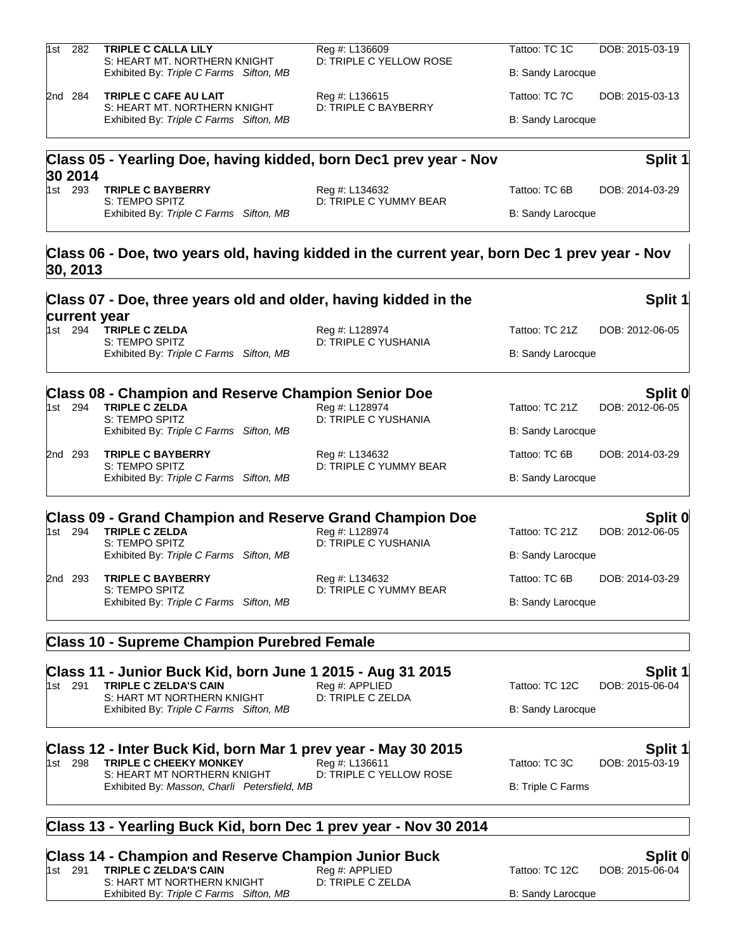| 1st | 282     | <b>TRIPLE C CALLA LILY</b><br>S: HEART MT, NORTHERN KNIGHT        | Reg #: L136609<br>D: TRIPLE C YELLOW ROSE | Tattoo: TC 1C     | DOB: 2015-03-19 |
|-----|---------|-------------------------------------------------------------------|-------------------------------------------|-------------------|-----------------|
|     |         | Exhibited By: Triple C Farms Sifton, MB                           |                                           | B: Sandy Larocque |                 |
|     | 2nd 284 | <b>TRIPLE C CAFE AU LAIT</b><br>S: HEART MT, NORTHERN KNIGHT      | Reg #: L136615<br>D: TRIPLE C BAYBERRY    | Tattoo: TC 7C     | DOB: 2015-03-13 |
|     |         | Exhibited By: Triple C Farms Sifton, MB                           |                                           | B: Sandy Larocque |                 |
|     |         | Class 05 - Yearling Doe, having kidded, born Dec1 prev year - Nov |                                           |                   | Split 1         |
|     | 30 2014 |                                                                   |                                           |                   |                 |
|     | 1st 293 | <b>TRIPLE C BAYBERRY</b><br>S: TEMPO SPITZ                        | Reg #: L134632<br>D: TRIPLE C YUMMY BEAR  | Tattoo: TC 6B     | DOB: 2014-03-29 |
|     |         | Exhibited By: Triple C Farms<br>Sifton, MB                        |                                           | B: Sandy Larocque |                 |
|     |         |                                                                   |                                           |                   |                 |

# **Class 06 - Doe, two years old, having kidded in the current year, born Dec 1 prev year - Nov 30, 2013**

|     |         | Class 07 - Doe, three years old and older, having kidded in the                                       |                                           |                                            | Split 1                    |
|-----|---------|-------------------------------------------------------------------------------------------------------|-------------------------------------------|--------------------------------------------|----------------------------|
|     | 1st 294 | current year<br><b>TRIPLE C ZELDA</b><br>S: TEMPO SPITZ<br>Exhibited By: Triple C Farms Sifton, MB    | Reg #: L128974<br>D: TRIPLE C YUSHANIA    | Tattoo: TC 21Z<br><b>B: Sandy Larocque</b> | DOB: 2012-06-05            |
|     |         |                                                                                                       |                                           |                                            |                            |
|     | 1st 294 | <b>Class 08 - Champion and Reserve Champion Senior Doe</b><br><b>TRIPLE C ZELDA</b><br>S: TEMPO SPITZ | Reg #: L128974<br>D: TRIPLE C YUSHANIA    | Tattoo: TC 21Z                             | Split 0<br>DOB: 2012-06-05 |
|     |         | Exhibited By: Triple C Farms Sifton, MB                                                               |                                           | <b>B: Sandy Larocque</b>                   |                            |
|     | 2nd 293 | <b>TRIPLE C BAYBERRY</b><br>S: TEMPO SPITZ                                                            | Reg #: L134632<br>D: TRIPLE C YUMMY BEAR  | Tattoo: TC 6B                              | DOB: 2014-03-29            |
|     |         | Exhibited By: Triple C Farms Sifton, MB                                                               |                                           | B: Sandy Larocque                          |                            |
|     |         | <b>Class 09 - Grand Champion and Reserve Grand Champion Doe</b>                                       |                                           |                                            | Split 0                    |
|     | 1st 294 | <b>TRIPLE C ZELDA</b><br>S: TEMPO SPITZ                                                               | Reg #: L128974<br>D: TRIPLE C YUSHANIA    | Tattoo: TC 21Z                             | DOB: 2012-06-05            |
|     |         | Exhibited By: Triple C Farms Sifton, MB                                                               |                                           | B: Sandy Larocque                          |                            |
|     | 2nd 293 | <b>TRIPLE C BAYBERRY</b><br>S: TEMPO SPITZ                                                            | Reg #: L134632<br>D: TRIPLE C YUMMY BEAR  | Tattoo: TC 6B                              | DOB: 2014-03-29            |
|     |         | Exhibited By: Triple C Farms Sifton, MB                                                               |                                           | B: Sandy Larocque                          |                            |
|     |         | <b>Class 10 - Supreme Champion Purebred Female</b>                                                    |                                           |                                            |                            |
|     |         | Class 11 - Junior Buck Kid, born June 1 2015 - Aug 31 2015                                            |                                           |                                            | Split 1                    |
|     | 1st 291 | <b>TRIPLE C ZELDA'S CAIN</b>                                                                          | Reg #: APPLIED                            | Tattoo: TC 12C                             | DOB: 2015-06-04            |
|     |         | S: HART MT NORTHERN KNIGHT<br>Exhibited By: Triple C Farms Sifton, MB                                 | D: TRIPLE C ZELDA                         | <b>B: Sandy Larocque</b>                   |                            |
|     |         | Class 12 - Inter Buck Kid, born Mar 1 prev year - May 30 2015                                         |                                           |                                            | Split 1                    |
|     | 1st 298 | <b>TRIPLE C CHEEKY MONKEY</b><br>S: HEART MT NORTHERN KNIGHT                                          | Reg #: L136611<br>D: TRIPLE C YELLOW ROSE | Tattoo: TC 3C                              | DOB: 2015-03-19            |
|     |         | Exhibited By: Masson, Charli Petersfield, MB                                                          |                                           | B: Triple C Farms                          |                            |
|     |         | Class 13 - Yearling Buck Kid, born Dec 1 prev year - Nov 30 2014                                      |                                           |                                            |                            |
| ОΙ. |         | $\sim$<br>.<br>$\sim$<br>$\overline{1}$                                                               | والمستبدات<br>. n. I.                     |                                            | 0.11.0                     |

**Class 14 - Champion and Reserve Champion Junior Buck Split 0** 1st 291 **TRIPLE C ZELDA'S CAIN** Reg #: APPLIED<br>S: HART MT NORTHERN KNIGHT D: TRIPLE C ZELDA

S: HART MT NORTHERN KNIGHT Exhibited By: Triple C Farms Sifton, MB B: Sandy Larocque B: Sandy Larocque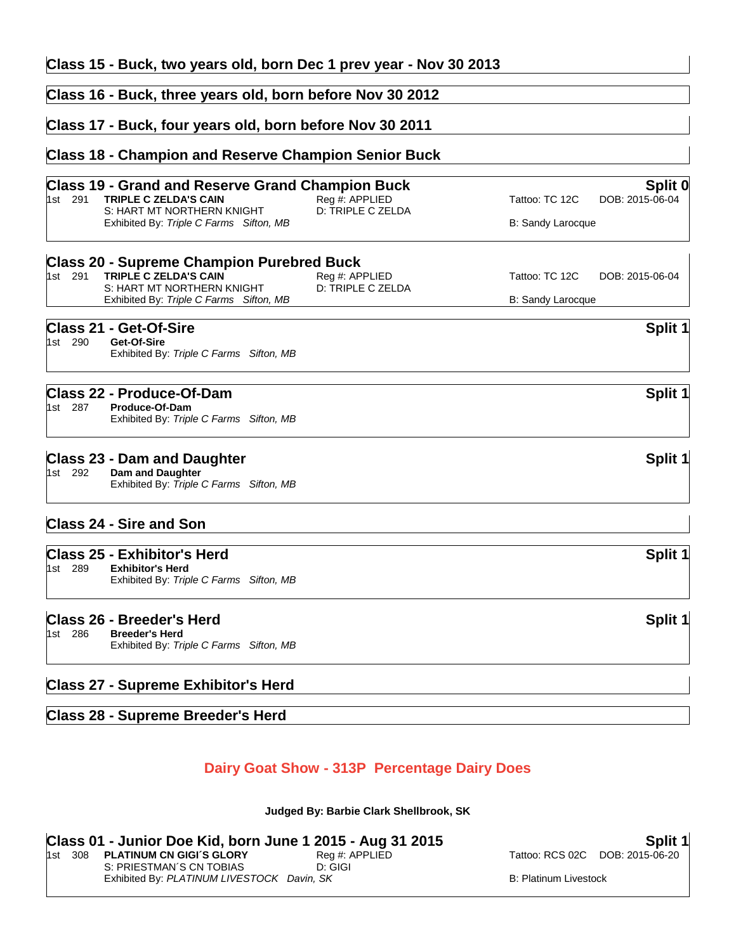| Class 15 - Buck, two years old, born Dec 1 prev year - Nov 30 2013                                                               |                                     |                                              |
|----------------------------------------------------------------------------------------------------------------------------------|-------------------------------------|----------------------------------------------|
| Class 16 - Buck, three years old, born before Nov 30 2012                                                                        |                                     |                                              |
| Class 17 - Buck, four years old, born before Nov 30 2011                                                                         |                                     |                                              |
| <b>Class 18 - Champion and Reserve Champion Senior Buck</b>                                                                      |                                     |                                              |
| <b>Class 19 - Grand and Reserve Grand Champion Buck</b><br><b>TRIPLE C ZELDA'S CAIN</b><br>1st 291<br>S: HART MT NORTHERN KNIGHT | Reg #: APPLIED<br>D: TRIPLE C ZELDA | Split 0<br>Tattoo: TC 12C<br>DOB: 2015-06-04 |
| Exhibited By: Triple C Farms Sifton, MB                                                                                          |                                     | B: Sandy Larocque                            |
| <b>Class 20 - Supreme Champion Purebred Buck</b>                                                                                 |                                     |                                              |
| 1st 291<br>TRIPLE C ZELDA'S CAIN<br>S: HART MT NORTHERN KNIGHT                                                                   | Reg #: APPLIED<br>D: TRIPLE C ZELDA | Tattoo: TC 12C<br>DOB: 2015-06-04            |
| Exhibited By: Triple C Farms Sifton, MB                                                                                          |                                     | <b>B: Sandy Larocque</b>                     |
| <b>Class 21 - Get-Of-Sire</b>                                                                                                    |                                     | Split 1                                      |
| 1st 290<br>Get-Of-Sire<br>Exhibited By: Triple C Farms Sifton, MB                                                                |                                     |                                              |
| Class 22 - Produce-Of-Dam                                                                                                        |                                     | Split 1                                      |
| 1st 287<br>Produce-Of-Dam<br>Exhibited By: Triple C Farms Sifton, MB                                                             |                                     |                                              |
| <b>Class 23 - Dam and Daughter</b>                                                                                               |                                     | Split 1                                      |
| 1st 292<br>Dam and Daughter<br>Exhibited By: Triple C Farms Sifton, MB                                                           |                                     |                                              |
| <b>Class 24 - Sire and Son</b>                                                                                                   |                                     |                                              |
| <b>Class 25 - Exhibitor's Herd</b>                                                                                               |                                     | Split 1                                      |
| 1st 289<br><b>Exhibitor's Herd</b><br>Exhibited By: Triple C Farms Sifton, MB                                                    |                                     |                                              |
| Class 26 - Breeder's Herd                                                                                                        |                                     | Split 1                                      |
| 286<br><b>Breeder's Herd</b><br>1st l<br>Exhibited By: Triple C Farms Sifton, MB                                                 |                                     |                                              |
| <b>Class 27 - Supreme Exhibitor's Herd</b>                                                                                       |                                     |                                              |
|                                                                                                                                  |                                     |                                              |

# **Class 28 - Supreme Breeder's Herd**

# **Dairy Goat Show - 313P Percentage Dairy Does**

**Judged By: Barbie Clark Shellbrook, SK**

| Class 01 - Junior Doe Kid, born June 1 2015 - Aug 31 2015 | Split 1 |
|-----------------------------------------------------------|---------|
|                                                           |         |

1st 308 **PLATINUM CN GIGI´S GLORY** Reg #: APPLIED Tattoo: RCS 02C DOB: 2015-06-20<br>S: PRIESTMAN´S CN TOBIAS D: GIGI S: PRIESTMAN´S CN TOBIAS Exhibited By: PLATINUM LIVESTOCK Davin, SK B: Platinum Livestock